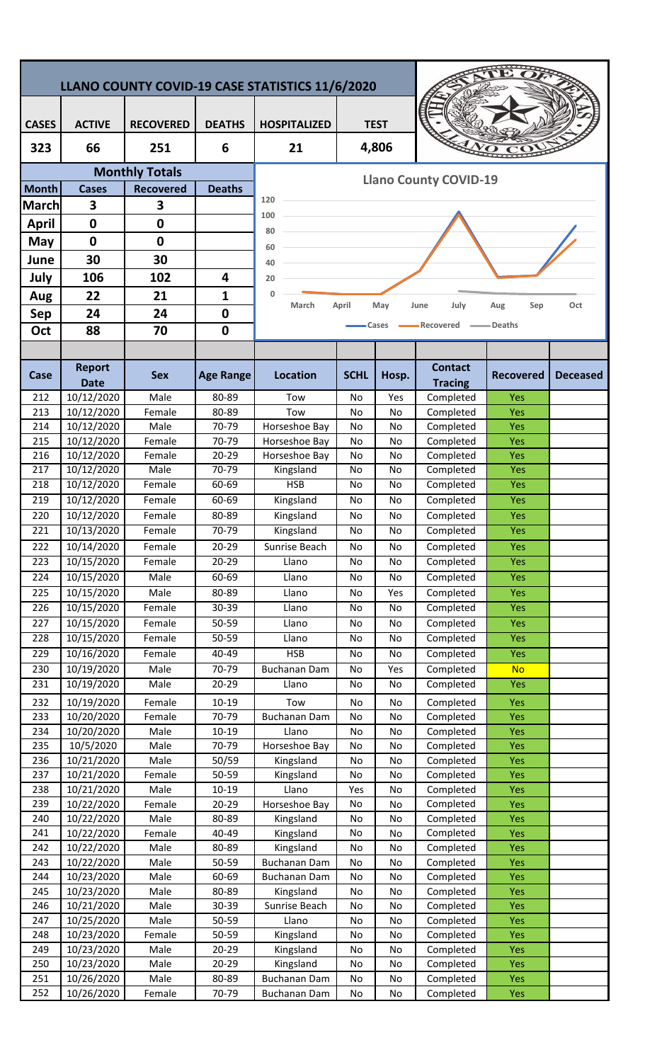| <b>CASES</b><br><b>ACTIVE</b><br><b>TEST</b><br><b>RECOVERED</b><br><b>DEATHS</b><br><b>HOSPITALIZED</b><br>4,806<br>323<br>66<br>251<br>6<br>21<br><b>Monthly Totals</b><br><b>Llano County COVID-19</b><br><b>Month</b><br><b>Deaths</b><br><b>Cases</b><br><b>Recovered</b><br>120<br>3<br>3<br><b>March</b><br>100<br>$\mathbf 0$<br>0<br><b>April</b><br>80<br>$\mathbf 0$<br>0<br>May<br>60<br>30<br>30<br>June<br>40<br>106<br>102<br>July<br>4<br>20<br>22<br>21<br>$\mathbf{0}$<br>$\mathbf{1}$<br>Aug<br>March<br>May<br>July<br>Oct<br>April<br>June<br>Sep<br>Aug<br>24<br>24<br>$\mathbf 0$<br><b>Sep</b><br>Recovered<br>=Deaths<br>Cases<br>88<br>70<br>$\mathbf 0$<br>Oct<br><b>Report</b><br><b>Contact</b><br><b>SCHL</b><br>Case<br><b>Sex</b><br><b>Age Range</b><br><b>Location</b><br>Hosp.<br><b>Recovered</b><br><b>Deceased</b><br><b>Date</b><br><b>Tracing</b><br>10/12/2020<br>Male<br>80-89<br>212<br>Tow<br>Yes<br>Completed<br>Yes<br>No<br>213<br>10/12/2020<br>Female<br>80-89<br>Completed<br>Yes<br>Tow<br>No<br>No<br>214<br>10/12/2020<br>Male<br>70-79<br>Horseshoe Bay<br>No<br>No<br>Completed<br>Yes<br>10/12/2020<br>215<br>Female<br>70-79<br>Horseshoe Bay<br>Completed<br>Yes<br>No<br>No<br>10/12/2020<br>216<br>Female<br>20-29<br>Horseshoe Bay<br>No<br>No<br>Completed<br><b>Yes</b><br>217<br>10/12/2020<br>Male<br>70-79<br>Kingsland<br>Completed<br>Yes<br>No<br>No<br>10/12/2020<br>$\overline{218}$<br>Female<br>$60 - 69$<br>HSB<br>Completed<br>Yes<br>No<br>No<br>10/12/2020<br>219<br>Female<br>60-69<br>No<br>Completed<br>Yes<br>Kingsland<br>No<br>10/12/2020<br>Yes<br>220<br>Female<br>80-89<br>Kingsland<br>Completed<br>No<br>No<br>10/13/2020<br>$\overline{221}$<br>70-79<br>Kingsland<br>Completed<br>Female<br>No<br>Yes<br>No<br>10/14/2020<br>$20 - 29$<br>Sunrise Beach<br>Completed<br>Yes<br>222<br>Female<br>No<br>No<br>223<br>10/15/2020<br>$20 - 29$<br>Completed<br>Yes<br>Female<br>Llano<br>No<br>No<br>10/15/2020<br><b>Male</b><br>Completed<br>224<br>60-69<br>Llano<br>Yes<br>No<br>No<br>10/15/2020<br>225<br>Male<br>80-89<br>Yes<br>Llano<br>Yes<br>Completed<br>No<br>10/15/2020<br>$30 - 39$<br><b>Yes</b><br>226<br>Female<br>Completed<br>Llano<br>No<br>No<br>10/15/2020<br>50-59<br>Completed<br>Yes<br>227<br>Female<br>Llano<br>No<br>No<br>10/15/2020<br>228<br>Female<br>$50 - 59$<br>Llano<br>Completed<br>Yes<br>No<br>No<br>10/16/2020<br>229<br>Female<br>40-49<br><b>HSB</b><br>Completed<br>Yes<br>No<br>No<br>10/19/2020<br>Male<br>Completed<br>230<br>70-79<br><b>Buchanan Dam</b><br>Yes<br><b>No</b><br>No<br>10/19/2020<br>231<br>Male<br>$20 - 29$<br>Completed<br>Yes.<br>Llano<br>No<br>No<br>10/19/2020<br>Female<br>232<br>$10 - 19$<br>Tow<br>Completed<br><b>Yes</b><br>No<br>No<br>10/20/2020<br>Female<br>70-79<br>233<br><b>Buchanan Dam</b><br>Completed<br><b>Yes</b><br>No<br>No<br>$10 - 19$<br>234<br>10/20/2020<br>Male<br>Completed<br><b>Yes</b><br>Llano<br>No<br>No<br>235<br>10/5/2020<br>Male<br>70-79<br>Completed<br>Horseshoe Bay<br>No<br>No<br><b>Yes</b><br>236<br>10/21/2020<br>Male<br>50/59<br>Kingsland<br>No<br>Completed<br><b>Yes</b><br>No<br>50-59<br>237<br>10/21/2020<br>Female<br>Completed<br>Kingsland<br>No<br>No<br><b>Yes</b><br>238<br>10/21/2020<br>Male<br>$10 - 19$<br>Llano<br>Yes<br>Completed<br><b>Yes</b><br>No<br>239<br>10/22/2020<br>Completed<br>Female<br>$20 - 29$<br>Horseshoe Bay<br>No<br>No<br><b>Yes</b><br>240<br>10/22/2020<br>Male<br>80-89<br>Kingsland<br>Completed<br><b>Yes</b><br>No<br>No<br>10/22/2020<br>241<br>Female<br>40-49<br>Kingsland<br>Completed<br>No<br>No<br><b>Yes</b><br>10/22/2020<br>Male<br>242<br>80-89<br>Kingsland<br>Completed<br>No<br>No<br><b>Yes</b><br>Male<br>243<br>10/22/2020<br>50-59<br><b>Buchanan Dam</b><br>Completed<br><b>Yes</b><br>No<br>No<br>244<br>10/23/2020<br>Male<br>60-69<br>Completed<br><b>Yes</b><br>Buchanan Dam<br>No<br>No<br>245<br>10/23/2020<br>Male<br>Completed<br>80-89<br>Kingsland<br>No<br>No<br><b>Yes</b><br>246<br>10/21/2020<br>Male<br>30-39<br>Sunrise Beach<br>Completed<br>No<br><b>Yes</b><br>No<br>Male<br>247<br>10/25/2020<br>50-59<br>Llano<br>No<br>Completed<br><b>Yes</b><br>No<br>248<br>10/23/2020<br>Female<br>50-59<br>Completed<br>Yes<br>Kingsland<br>No<br>No<br>249<br>10/23/2020<br>Male<br>20-29<br>Kingsland<br>Completed<br><b>Yes</b><br>No<br>No<br>250<br>10/23/2020<br>Male<br>20-29<br>Kingsland<br>No<br>No<br>Completed<br><b>Yes</b><br>10/26/2020<br>Male<br>251<br>80-89<br>Buchanan Dam<br>Completed<br><b>Yes</b><br>No<br>No<br>10/26/2020<br>252<br>Female<br>70-79<br>Completed<br><b>Buchanan Dam</b><br>No<br>No<br><b>Yes</b> | LLANO COUNTY COVID-19 CASE STATISTICS 11/6/2020 |  |  |  |  |  |  |  |  |  |  |
|--------------------------------------------------------------------------------------------------------------------------------------------------------------------------------------------------------------------------------------------------------------------------------------------------------------------------------------------------------------------------------------------------------------------------------------------------------------------------------------------------------------------------------------------------------------------------------------------------------------------------------------------------------------------------------------------------------------------------------------------------------------------------------------------------------------------------------------------------------------------------------------------------------------------------------------------------------------------------------------------------------------------------------------------------------------------------------------------------------------------------------------------------------------------------------------------------------------------------------------------------------------------------------------------------------------------------------------------------------------------------------------------------------------------------------------------------------------------------------------------------------------------------------------------------------------------------------------------------------------------------------------------------------------------------------------------------------------------------------------------------------------------------------------------------------------------------------------------------------------------------------------------------------------------------------------------------------------------------------------------------------------------------------------------------------------------------------------------------------------------------------------------------------------------------------------------------------------------------------------------------------------------------------------------------------------------------------------------------------------------------------------------------------------------------------------------------------------------------------------------------------------------------------------------------------------------------------------------------------------------------------------------------------------------------------------------------------------------------------------------------------------------------------------------------------------------------------------------------------------------------------------------------------------------------------------------------------------------------------------------------------------------------------------------------------------------------------------------------------------------------------------------------------------------------------------------------------------------------------------------------------------------------------------------------------------------------------------------------------------------------------------------------------------------------------------------------------------------------------------------------------------------------------------------------------------------------------------------------------------------------------------------------------------------------------------------------------------------------------------------------------------------------------------------------------------------------------------------------------------------------------------------------------------------------------------------------------------------------------------------------------------------------------------------------------------------------------------------------------------------------------------------------------------------------------------------------------------------------------------------------------------------------------------------------------------------------------------------------------------------------------------------------------------------------------------------------------------------------------------------------------------------------------------------------------------------------------------------------------------------------------------------------------------------------------------------------------------------------------------|-------------------------------------------------|--|--|--|--|--|--|--|--|--|--|
|                                                                                                                                                                                                                                                                                                                                                                                                                                                                                                                                                                                                                                                                                                                                                                                                                                                                                                                                                                                                                                                                                                                                                                                                                                                                                                                                                                                                                                                                                                                                                                                                                                                                                                                                                                                                                                                                                                                                                                                                                                                                                                                                                                                                                                                                                                                                                                                                                                                                                                                                                                                                                                                                                                                                                                                                                                                                                                                                                                                                                                                                                                                                                                                                                                                                                                                                                                                                                                                                                                                                                                                                                                                                                                                                                                                                                                                                                                                                                                                                                                                                                                                                                                                                                                                                                                                                                                                                                                                                                                                                                                                                                                                                                                                                      |                                                 |  |  |  |  |  |  |  |  |  |  |
|                                                                                                                                                                                                                                                                                                                                                                                                                                                                                                                                                                                                                                                                                                                                                                                                                                                                                                                                                                                                                                                                                                                                                                                                                                                                                                                                                                                                                                                                                                                                                                                                                                                                                                                                                                                                                                                                                                                                                                                                                                                                                                                                                                                                                                                                                                                                                                                                                                                                                                                                                                                                                                                                                                                                                                                                                                                                                                                                                                                                                                                                                                                                                                                                                                                                                                                                                                                                                                                                                                                                                                                                                                                                                                                                                                                                                                                                                                                                                                                                                                                                                                                                                                                                                                                                                                                                                                                                                                                                                                                                                                                                                                                                                                                                      |                                                 |  |  |  |  |  |  |  |  |  |  |
|                                                                                                                                                                                                                                                                                                                                                                                                                                                                                                                                                                                                                                                                                                                                                                                                                                                                                                                                                                                                                                                                                                                                                                                                                                                                                                                                                                                                                                                                                                                                                                                                                                                                                                                                                                                                                                                                                                                                                                                                                                                                                                                                                                                                                                                                                                                                                                                                                                                                                                                                                                                                                                                                                                                                                                                                                                                                                                                                                                                                                                                                                                                                                                                                                                                                                                                                                                                                                                                                                                                                                                                                                                                                                                                                                                                                                                                                                                                                                                                                                                                                                                                                                                                                                                                                                                                                                                                                                                                                                                                                                                                                                                                                                                                                      |                                                 |  |  |  |  |  |  |  |  |  |  |
|                                                                                                                                                                                                                                                                                                                                                                                                                                                                                                                                                                                                                                                                                                                                                                                                                                                                                                                                                                                                                                                                                                                                                                                                                                                                                                                                                                                                                                                                                                                                                                                                                                                                                                                                                                                                                                                                                                                                                                                                                                                                                                                                                                                                                                                                                                                                                                                                                                                                                                                                                                                                                                                                                                                                                                                                                                                                                                                                                                                                                                                                                                                                                                                                                                                                                                                                                                                                                                                                                                                                                                                                                                                                                                                                                                                                                                                                                                                                                                                                                                                                                                                                                                                                                                                                                                                                                                                                                                                                                                                                                                                                                                                                                                                                      |                                                 |  |  |  |  |  |  |  |  |  |  |
|                                                                                                                                                                                                                                                                                                                                                                                                                                                                                                                                                                                                                                                                                                                                                                                                                                                                                                                                                                                                                                                                                                                                                                                                                                                                                                                                                                                                                                                                                                                                                                                                                                                                                                                                                                                                                                                                                                                                                                                                                                                                                                                                                                                                                                                                                                                                                                                                                                                                                                                                                                                                                                                                                                                                                                                                                                                                                                                                                                                                                                                                                                                                                                                                                                                                                                                                                                                                                                                                                                                                                                                                                                                                                                                                                                                                                                                                                                                                                                                                                                                                                                                                                                                                                                                                                                                                                                                                                                                                                                                                                                                                                                                                                                                                      |                                                 |  |  |  |  |  |  |  |  |  |  |
|                                                                                                                                                                                                                                                                                                                                                                                                                                                                                                                                                                                                                                                                                                                                                                                                                                                                                                                                                                                                                                                                                                                                                                                                                                                                                                                                                                                                                                                                                                                                                                                                                                                                                                                                                                                                                                                                                                                                                                                                                                                                                                                                                                                                                                                                                                                                                                                                                                                                                                                                                                                                                                                                                                                                                                                                                                                                                                                                                                                                                                                                                                                                                                                                                                                                                                                                                                                                                                                                                                                                                                                                                                                                                                                                                                                                                                                                                                                                                                                                                                                                                                                                                                                                                                                                                                                                                                                                                                                                                                                                                                                                                                                                                                                                      |                                                 |  |  |  |  |  |  |  |  |  |  |
|                                                                                                                                                                                                                                                                                                                                                                                                                                                                                                                                                                                                                                                                                                                                                                                                                                                                                                                                                                                                                                                                                                                                                                                                                                                                                                                                                                                                                                                                                                                                                                                                                                                                                                                                                                                                                                                                                                                                                                                                                                                                                                                                                                                                                                                                                                                                                                                                                                                                                                                                                                                                                                                                                                                                                                                                                                                                                                                                                                                                                                                                                                                                                                                                                                                                                                                                                                                                                                                                                                                                                                                                                                                                                                                                                                                                                                                                                                                                                                                                                                                                                                                                                                                                                                                                                                                                                                                                                                                                                                                                                                                                                                                                                                                                      |                                                 |  |  |  |  |  |  |  |  |  |  |
|                                                                                                                                                                                                                                                                                                                                                                                                                                                                                                                                                                                                                                                                                                                                                                                                                                                                                                                                                                                                                                                                                                                                                                                                                                                                                                                                                                                                                                                                                                                                                                                                                                                                                                                                                                                                                                                                                                                                                                                                                                                                                                                                                                                                                                                                                                                                                                                                                                                                                                                                                                                                                                                                                                                                                                                                                                                                                                                                                                                                                                                                                                                                                                                                                                                                                                                                                                                                                                                                                                                                                                                                                                                                                                                                                                                                                                                                                                                                                                                                                                                                                                                                                                                                                                                                                                                                                                                                                                                                                                                                                                                                                                                                                                                                      |                                                 |  |  |  |  |  |  |  |  |  |  |
|                                                                                                                                                                                                                                                                                                                                                                                                                                                                                                                                                                                                                                                                                                                                                                                                                                                                                                                                                                                                                                                                                                                                                                                                                                                                                                                                                                                                                                                                                                                                                                                                                                                                                                                                                                                                                                                                                                                                                                                                                                                                                                                                                                                                                                                                                                                                                                                                                                                                                                                                                                                                                                                                                                                                                                                                                                                                                                                                                                                                                                                                                                                                                                                                                                                                                                                                                                                                                                                                                                                                                                                                                                                                                                                                                                                                                                                                                                                                                                                                                                                                                                                                                                                                                                                                                                                                                                                                                                                                                                                                                                                                                                                                                                                                      |                                                 |  |  |  |  |  |  |  |  |  |  |
|                                                                                                                                                                                                                                                                                                                                                                                                                                                                                                                                                                                                                                                                                                                                                                                                                                                                                                                                                                                                                                                                                                                                                                                                                                                                                                                                                                                                                                                                                                                                                                                                                                                                                                                                                                                                                                                                                                                                                                                                                                                                                                                                                                                                                                                                                                                                                                                                                                                                                                                                                                                                                                                                                                                                                                                                                                                                                                                                                                                                                                                                                                                                                                                                                                                                                                                                                                                                                                                                                                                                                                                                                                                                                                                                                                                                                                                                                                                                                                                                                                                                                                                                                                                                                                                                                                                                                                                                                                                                                                                                                                                                                                                                                                                                      |                                                 |  |  |  |  |  |  |  |  |  |  |
|                                                                                                                                                                                                                                                                                                                                                                                                                                                                                                                                                                                                                                                                                                                                                                                                                                                                                                                                                                                                                                                                                                                                                                                                                                                                                                                                                                                                                                                                                                                                                                                                                                                                                                                                                                                                                                                                                                                                                                                                                                                                                                                                                                                                                                                                                                                                                                                                                                                                                                                                                                                                                                                                                                                                                                                                                                                                                                                                                                                                                                                                                                                                                                                                                                                                                                                                                                                                                                                                                                                                                                                                                                                                                                                                                                                                                                                                                                                                                                                                                                                                                                                                                                                                                                                                                                                                                                                                                                                                                                                                                                                                                                                                                                                                      |                                                 |  |  |  |  |  |  |  |  |  |  |
|                                                                                                                                                                                                                                                                                                                                                                                                                                                                                                                                                                                                                                                                                                                                                                                                                                                                                                                                                                                                                                                                                                                                                                                                                                                                                                                                                                                                                                                                                                                                                                                                                                                                                                                                                                                                                                                                                                                                                                                                                                                                                                                                                                                                                                                                                                                                                                                                                                                                                                                                                                                                                                                                                                                                                                                                                                                                                                                                                                                                                                                                                                                                                                                                                                                                                                                                                                                                                                                                                                                                                                                                                                                                                                                                                                                                                                                                                                                                                                                                                                                                                                                                                                                                                                                                                                                                                                                                                                                                                                                                                                                                                                                                                                                                      |                                                 |  |  |  |  |  |  |  |  |  |  |
|                                                                                                                                                                                                                                                                                                                                                                                                                                                                                                                                                                                                                                                                                                                                                                                                                                                                                                                                                                                                                                                                                                                                                                                                                                                                                                                                                                                                                                                                                                                                                                                                                                                                                                                                                                                                                                                                                                                                                                                                                                                                                                                                                                                                                                                                                                                                                                                                                                                                                                                                                                                                                                                                                                                                                                                                                                                                                                                                                                                                                                                                                                                                                                                                                                                                                                                                                                                                                                                                                                                                                                                                                                                                                                                                                                                                                                                                                                                                                                                                                                                                                                                                                                                                                                                                                                                                                                                                                                                                                                                                                                                                                                                                                                                                      |                                                 |  |  |  |  |  |  |  |  |  |  |
|                                                                                                                                                                                                                                                                                                                                                                                                                                                                                                                                                                                                                                                                                                                                                                                                                                                                                                                                                                                                                                                                                                                                                                                                                                                                                                                                                                                                                                                                                                                                                                                                                                                                                                                                                                                                                                                                                                                                                                                                                                                                                                                                                                                                                                                                                                                                                                                                                                                                                                                                                                                                                                                                                                                                                                                                                                                                                                                                                                                                                                                                                                                                                                                                                                                                                                                                                                                                                                                                                                                                                                                                                                                                                                                                                                                                                                                                                                                                                                                                                                                                                                                                                                                                                                                                                                                                                                                                                                                                                                                                                                                                                                                                                                                                      |                                                 |  |  |  |  |  |  |  |  |  |  |
|                                                                                                                                                                                                                                                                                                                                                                                                                                                                                                                                                                                                                                                                                                                                                                                                                                                                                                                                                                                                                                                                                                                                                                                                                                                                                                                                                                                                                                                                                                                                                                                                                                                                                                                                                                                                                                                                                                                                                                                                                                                                                                                                                                                                                                                                                                                                                                                                                                                                                                                                                                                                                                                                                                                                                                                                                                                                                                                                                                                                                                                                                                                                                                                                                                                                                                                                                                                                                                                                                                                                                                                                                                                                                                                                                                                                                                                                                                                                                                                                                                                                                                                                                                                                                                                                                                                                                                                                                                                                                                                                                                                                                                                                                                                                      |                                                 |  |  |  |  |  |  |  |  |  |  |
|                                                                                                                                                                                                                                                                                                                                                                                                                                                                                                                                                                                                                                                                                                                                                                                                                                                                                                                                                                                                                                                                                                                                                                                                                                                                                                                                                                                                                                                                                                                                                                                                                                                                                                                                                                                                                                                                                                                                                                                                                                                                                                                                                                                                                                                                                                                                                                                                                                                                                                                                                                                                                                                                                                                                                                                                                                                                                                                                                                                                                                                                                                                                                                                                                                                                                                                                                                                                                                                                                                                                                                                                                                                                                                                                                                                                                                                                                                                                                                                                                                                                                                                                                                                                                                                                                                                                                                                                                                                                                                                                                                                                                                                                                                                                      |                                                 |  |  |  |  |  |  |  |  |  |  |
|                                                                                                                                                                                                                                                                                                                                                                                                                                                                                                                                                                                                                                                                                                                                                                                                                                                                                                                                                                                                                                                                                                                                                                                                                                                                                                                                                                                                                                                                                                                                                                                                                                                                                                                                                                                                                                                                                                                                                                                                                                                                                                                                                                                                                                                                                                                                                                                                                                                                                                                                                                                                                                                                                                                                                                                                                                                                                                                                                                                                                                                                                                                                                                                                                                                                                                                                                                                                                                                                                                                                                                                                                                                                                                                                                                                                                                                                                                                                                                                                                                                                                                                                                                                                                                                                                                                                                                                                                                                                                                                                                                                                                                                                                                                                      |                                                 |  |  |  |  |  |  |  |  |  |  |
|                                                                                                                                                                                                                                                                                                                                                                                                                                                                                                                                                                                                                                                                                                                                                                                                                                                                                                                                                                                                                                                                                                                                                                                                                                                                                                                                                                                                                                                                                                                                                                                                                                                                                                                                                                                                                                                                                                                                                                                                                                                                                                                                                                                                                                                                                                                                                                                                                                                                                                                                                                                                                                                                                                                                                                                                                                                                                                                                                                                                                                                                                                                                                                                                                                                                                                                                                                                                                                                                                                                                                                                                                                                                                                                                                                                                                                                                                                                                                                                                                                                                                                                                                                                                                                                                                                                                                                                                                                                                                                                                                                                                                                                                                                                                      |                                                 |  |  |  |  |  |  |  |  |  |  |
|                                                                                                                                                                                                                                                                                                                                                                                                                                                                                                                                                                                                                                                                                                                                                                                                                                                                                                                                                                                                                                                                                                                                                                                                                                                                                                                                                                                                                                                                                                                                                                                                                                                                                                                                                                                                                                                                                                                                                                                                                                                                                                                                                                                                                                                                                                                                                                                                                                                                                                                                                                                                                                                                                                                                                                                                                                                                                                                                                                                                                                                                                                                                                                                                                                                                                                                                                                                                                                                                                                                                                                                                                                                                                                                                                                                                                                                                                                                                                                                                                                                                                                                                                                                                                                                                                                                                                                                                                                                                                                                                                                                                                                                                                                                                      |                                                 |  |  |  |  |  |  |  |  |  |  |
|                                                                                                                                                                                                                                                                                                                                                                                                                                                                                                                                                                                                                                                                                                                                                                                                                                                                                                                                                                                                                                                                                                                                                                                                                                                                                                                                                                                                                                                                                                                                                                                                                                                                                                                                                                                                                                                                                                                                                                                                                                                                                                                                                                                                                                                                                                                                                                                                                                                                                                                                                                                                                                                                                                                                                                                                                                                                                                                                                                                                                                                                                                                                                                                                                                                                                                                                                                                                                                                                                                                                                                                                                                                                                                                                                                                                                                                                                                                                                                                                                                                                                                                                                                                                                                                                                                                                                                                                                                                                                                                                                                                                                                                                                                                                      |                                                 |  |  |  |  |  |  |  |  |  |  |
|                                                                                                                                                                                                                                                                                                                                                                                                                                                                                                                                                                                                                                                                                                                                                                                                                                                                                                                                                                                                                                                                                                                                                                                                                                                                                                                                                                                                                                                                                                                                                                                                                                                                                                                                                                                                                                                                                                                                                                                                                                                                                                                                                                                                                                                                                                                                                                                                                                                                                                                                                                                                                                                                                                                                                                                                                                                                                                                                                                                                                                                                                                                                                                                                                                                                                                                                                                                                                                                                                                                                                                                                                                                                                                                                                                                                                                                                                                                                                                                                                                                                                                                                                                                                                                                                                                                                                                                                                                                                                                                                                                                                                                                                                                                                      |                                                 |  |  |  |  |  |  |  |  |  |  |
|                                                                                                                                                                                                                                                                                                                                                                                                                                                                                                                                                                                                                                                                                                                                                                                                                                                                                                                                                                                                                                                                                                                                                                                                                                                                                                                                                                                                                                                                                                                                                                                                                                                                                                                                                                                                                                                                                                                                                                                                                                                                                                                                                                                                                                                                                                                                                                                                                                                                                                                                                                                                                                                                                                                                                                                                                                                                                                                                                                                                                                                                                                                                                                                                                                                                                                                                                                                                                                                                                                                                                                                                                                                                                                                                                                                                                                                                                                                                                                                                                                                                                                                                                                                                                                                                                                                                                                                                                                                                                                                                                                                                                                                                                                                                      |                                                 |  |  |  |  |  |  |  |  |  |  |
|                                                                                                                                                                                                                                                                                                                                                                                                                                                                                                                                                                                                                                                                                                                                                                                                                                                                                                                                                                                                                                                                                                                                                                                                                                                                                                                                                                                                                                                                                                                                                                                                                                                                                                                                                                                                                                                                                                                                                                                                                                                                                                                                                                                                                                                                                                                                                                                                                                                                                                                                                                                                                                                                                                                                                                                                                                                                                                                                                                                                                                                                                                                                                                                                                                                                                                                                                                                                                                                                                                                                                                                                                                                                                                                                                                                                                                                                                                                                                                                                                                                                                                                                                                                                                                                                                                                                                                                                                                                                                                                                                                                                                                                                                                                                      |                                                 |  |  |  |  |  |  |  |  |  |  |
|                                                                                                                                                                                                                                                                                                                                                                                                                                                                                                                                                                                                                                                                                                                                                                                                                                                                                                                                                                                                                                                                                                                                                                                                                                                                                                                                                                                                                                                                                                                                                                                                                                                                                                                                                                                                                                                                                                                                                                                                                                                                                                                                                                                                                                                                                                                                                                                                                                                                                                                                                                                                                                                                                                                                                                                                                                                                                                                                                                                                                                                                                                                                                                                                                                                                                                                                                                                                                                                                                                                                                                                                                                                                                                                                                                                                                                                                                                                                                                                                                                                                                                                                                                                                                                                                                                                                                                                                                                                                                                                                                                                                                                                                                                                                      |                                                 |  |  |  |  |  |  |  |  |  |  |
|                                                                                                                                                                                                                                                                                                                                                                                                                                                                                                                                                                                                                                                                                                                                                                                                                                                                                                                                                                                                                                                                                                                                                                                                                                                                                                                                                                                                                                                                                                                                                                                                                                                                                                                                                                                                                                                                                                                                                                                                                                                                                                                                                                                                                                                                                                                                                                                                                                                                                                                                                                                                                                                                                                                                                                                                                                                                                                                                                                                                                                                                                                                                                                                                                                                                                                                                                                                                                                                                                                                                                                                                                                                                                                                                                                                                                                                                                                                                                                                                                                                                                                                                                                                                                                                                                                                                                                                                                                                                                                                                                                                                                                                                                                                                      |                                                 |  |  |  |  |  |  |  |  |  |  |
|                                                                                                                                                                                                                                                                                                                                                                                                                                                                                                                                                                                                                                                                                                                                                                                                                                                                                                                                                                                                                                                                                                                                                                                                                                                                                                                                                                                                                                                                                                                                                                                                                                                                                                                                                                                                                                                                                                                                                                                                                                                                                                                                                                                                                                                                                                                                                                                                                                                                                                                                                                                                                                                                                                                                                                                                                                                                                                                                                                                                                                                                                                                                                                                                                                                                                                                                                                                                                                                                                                                                                                                                                                                                                                                                                                                                                                                                                                                                                                                                                                                                                                                                                                                                                                                                                                                                                                                                                                                                                                                                                                                                                                                                                                                                      |                                                 |  |  |  |  |  |  |  |  |  |  |
|                                                                                                                                                                                                                                                                                                                                                                                                                                                                                                                                                                                                                                                                                                                                                                                                                                                                                                                                                                                                                                                                                                                                                                                                                                                                                                                                                                                                                                                                                                                                                                                                                                                                                                                                                                                                                                                                                                                                                                                                                                                                                                                                                                                                                                                                                                                                                                                                                                                                                                                                                                                                                                                                                                                                                                                                                                                                                                                                                                                                                                                                                                                                                                                                                                                                                                                                                                                                                                                                                                                                                                                                                                                                                                                                                                                                                                                                                                                                                                                                                                                                                                                                                                                                                                                                                                                                                                                                                                                                                                                                                                                                                                                                                                                                      |                                                 |  |  |  |  |  |  |  |  |  |  |
|                                                                                                                                                                                                                                                                                                                                                                                                                                                                                                                                                                                                                                                                                                                                                                                                                                                                                                                                                                                                                                                                                                                                                                                                                                                                                                                                                                                                                                                                                                                                                                                                                                                                                                                                                                                                                                                                                                                                                                                                                                                                                                                                                                                                                                                                                                                                                                                                                                                                                                                                                                                                                                                                                                                                                                                                                                                                                                                                                                                                                                                                                                                                                                                                                                                                                                                                                                                                                                                                                                                                                                                                                                                                                                                                                                                                                                                                                                                                                                                                                                                                                                                                                                                                                                                                                                                                                                                                                                                                                                                                                                                                                                                                                                                                      |                                                 |  |  |  |  |  |  |  |  |  |  |
|                                                                                                                                                                                                                                                                                                                                                                                                                                                                                                                                                                                                                                                                                                                                                                                                                                                                                                                                                                                                                                                                                                                                                                                                                                                                                                                                                                                                                                                                                                                                                                                                                                                                                                                                                                                                                                                                                                                                                                                                                                                                                                                                                                                                                                                                                                                                                                                                                                                                                                                                                                                                                                                                                                                                                                                                                                                                                                                                                                                                                                                                                                                                                                                                                                                                                                                                                                                                                                                                                                                                                                                                                                                                                                                                                                                                                                                                                                                                                                                                                                                                                                                                                                                                                                                                                                                                                                                                                                                                                                                                                                                                                                                                                                                                      |                                                 |  |  |  |  |  |  |  |  |  |  |
|                                                                                                                                                                                                                                                                                                                                                                                                                                                                                                                                                                                                                                                                                                                                                                                                                                                                                                                                                                                                                                                                                                                                                                                                                                                                                                                                                                                                                                                                                                                                                                                                                                                                                                                                                                                                                                                                                                                                                                                                                                                                                                                                                                                                                                                                                                                                                                                                                                                                                                                                                                                                                                                                                                                                                                                                                                                                                                                                                                                                                                                                                                                                                                                                                                                                                                                                                                                                                                                                                                                                                                                                                                                                                                                                                                                                                                                                                                                                                                                                                                                                                                                                                                                                                                                                                                                                                                                                                                                                                                                                                                                                                                                                                                                                      |                                                 |  |  |  |  |  |  |  |  |  |  |
|                                                                                                                                                                                                                                                                                                                                                                                                                                                                                                                                                                                                                                                                                                                                                                                                                                                                                                                                                                                                                                                                                                                                                                                                                                                                                                                                                                                                                                                                                                                                                                                                                                                                                                                                                                                                                                                                                                                                                                                                                                                                                                                                                                                                                                                                                                                                                                                                                                                                                                                                                                                                                                                                                                                                                                                                                                                                                                                                                                                                                                                                                                                                                                                                                                                                                                                                                                                                                                                                                                                                                                                                                                                                                                                                                                                                                                                                                                                                                                                                                                                                                                                                                                                                                                                                                                                                                                                                                                                                                                                                                                                                                                                                                                                                      |                                                 |  |  |  |  |  |  |  |  |  |  |
|                                                                                                                                                                                                                                                                                                                                                                                                                                                                                                                                                                                                                                                                                                                                                                                                                                                                                                                                                                                                                                                                                                                                                                                                                                                                                                                                                                                                                                                                                                                                                                                                                                                                                                                                                                                                                                                                                                                                                                                                                                                                                                                                                                                                                                                                                                                                                                                                                                                                                                                                                                                                                                                                                                                                                                                                                                                                                                                                                                                                                                                                                                                                                                                                                                                                                                                                                                                                                                                                                                                                                                                                                                                                                                                                                                                                                                                                                                                                                                                                                                                                                                                                                                                                                                                                                                                                                                                                                                                                                                                                                                                                                                                                                                                                      |                                                 |  |  |  |  |  |  |  |  |  |  |
|                                                                                                                                                                                                                                                                                                                                                                                                                                                                                                                                                                                                                                                                                                                                                                                                                                                                                                                                                                                                                                                                                                                                                                                                                                                                                                                                                                                                                                                                                                                                                                                                                                                                                                                                                                                                                                                                                                                                                                                                                                                                                                                                                                                                                                                                                                                                                                                                                                                                                                                                                                                                                                                                                                                                                                                                                                                                                                                                                                                                                                                                                                                                                                                                                                                                                                                                                                                                                                                                                                                                                                                                                                                                                                                                                                                                                                                                                                                                                                                                                                                                                                                                                                                                                                                                                                                                                                                                                                                                                                                                                                                                                                                                                                                                      |                                                 |  |  |  |  |  |  |  |  |  |  |
|                                                                                                                                                                                                                                                                                                                                                                                                                                                                                                                                                                                                                                                                                                                                                                                                                                                                                                                                                                                                                                                                                                                                                                                                                                                                                                                                                                                                                                                                                                                                                                                                                                                                                                                                                                                                                                                                                                                                                                                                                                                                                                                                                                                                                                                                                                                                                                                                                                                                                                                                                                                                                                                                                                                                                                                                                                                                                                                                                                                                                                                                                                                                                                                                                                                                                                                                                                                                                                                                                                                                                                                                                                                                                                                                                                                                                                                                                                                                                                                                                                                                                                                                                                                                                                                                                                                                                                                                                                                                                                                                                                                                                                                                                                                                      |                                                 |  |  |  |  |  |  |  |  |  |  |
|                                                                                                                                                                                                                                                                                                                                                                                                                                                                                                                                                                                                                                                                                                                                                                                                                                                                                                                                                                                                                                                                                                                                                                                                                                                                                                                                                                                                                                                                                                                                                                                                                                                                                                                                                                                                                                                                                                                                                                                                                                                                                                                                                                                                                                                                                                                                                                                                                                                                                                                                                                                                                                                                                                                                                                                                                                                                                                                                                                                                                                                                                                                                                                                                                                                                                                                                                                                                                                                                                                                                                                                                                                                                                                                                                                                                                                                                                                                                                                                                                                                                                                                                                                                                                                                                                                                                                                                                                                                                                                                                                                                                                                                                                                                                      |                                                 |  |  |  |  |  |  |  |  |  |  |
|                                                                                                                                                                                                                                                                                                                                                                                                                                                                                                                                                                                                                                                                                                                                                                                                                                                                                                                                                                                                                                                                                                                                                                                                                                                                                                                                                                                                                                                                                                                                                                                                                                                                                                                                                                                                                                                                                                                                                                                                                                                                                                                                                                                                                                                                                                                                                                                                                                                                                                                                                                                                                                                                                                                                                                                                                                                                                                                                                                                                                                                                                                                                                                                                                                                                                                                                                                                                                                                                                                                                                                                                                                                                                                                                                                                                                                                                                                                                                                                                                                                                                                                                                                                                                                                                                                                                                                                                                                                                                                                                                                                                                                                                                                                                      |                                                 |  |  |  |  |  |  |  |  |  |  |
|                                                                                                                                                                                                                                                                                                                                                                                                                                                                                                                                                                                                                                                                                                                                                                                                                                                                                                                                                                                                                                                                                                                                                                                                                                                                                                                                                                                                                                                                                                                                                                                                                                                                                                                                                                                                                                                                                                                                                                                                                                                                                                                                                                                                                                                                                                                                                                                                                                                                                                                                                                                                                                                                                                                                                                                                                                                                                                                                                                                                                                                                                                                                                                                                                                                                                                                                                                                                                                                                                                                                                                                                                                                                                                                                                                                                                                                                                                                                                                                                                                                                                                                                                                                                                                                                                                                                                                                                                                                                                                                                                                                                                                                                                                                                      |                                                 |  |  |  |  |  |  |  |  |  |  |
|                                                                                                                                                                                                                                                                                                                                                                                                                                                                                                                                                                                                                                                                                                                                                                                                                                                                                                                                                                                                                                                                                                                                                                                                                                                                                                                                                                                                                                                                                                                                                                                                                                                                                                                                                                                                                                                                                                                                                                                                                                                                                                                                                                                                                                                                                                                                                                                                                                                                                                                                                                                                                                                                                                                                                                                                                                                                                                                                                                                                                                                                                                                                                                                                                                                                                                                                                                                                                                                                                                                                                                                                                                                                                                                                                                                                                                                                                                                                                                                                                                                                                                                                                                                                                                                                                                                                                                                                                                                                                                                                                                                                                                                                                                                                      |                                                 |  |  |  |  |  |  |  |  |  |  |
|                                                                                                                                                                                                                                                                                                                                                                                                                                                                                                                                                                                                                                                                                                                                                                                                                                                                                                                                                                                                                                                                                                                                                                                                                                                                                                                                                                                                                                                                                                                                                                                                                                                                                                                                                                                                                                                                                                                                                                                                                                                                                                                                                                                                                                                                                                                                                                                                                                                                                                                                                                                                                                                                                                                                                                                                                                                                                                                                                                                                                                                                                                                                                                                                                                                                                                                                                                                                                                                                                                                                                                                                                                                                                                                                                                                                                                                                                                                                                                                                                                                                                                                                                                                                                                                                                                                                                                                                                                                                                                                                                                                                                                                                                                                                      |                                                 |  |  |  |  |  |  |  |  |  |  |
|                                                                                                                                                                                                                                                                                                                                                                                                                                                                                                                                                                                                                                                                                                                                                                                                                                                                                                                                                                                                                                                                                                                                                                                                                                                                                                                                                                                                                                                                                                                                                                                                                                                                                                                                                                                                                                                                                                                                                                                                                                                                                                                                                                                                                                                                                                                                                                                                                                                                                                                                                                                                                                                                                                                                                                                                                                                                                                                                                                                                                                                                                                                                                                                                                                                                                                                                                                                                                                                                                                                                                                                                                                                                                                                                                                                                                                                                                                                                                                                                                                                                                                                                                                                                                                                                                                                                                                                                                                                                                                                                                                                                                                                                                                                                      |                                                 |  |  |  |  |  |  |  |  |  |  |
|                                                                                                                                                                                                                                                                                                                                                                                                                                                                                                                                                                                                                                                                                                                                                                                                                                                                                                                                                                                                                                                                                                                                                                                                                                                                                                                                                                                                                                                                                                                                                                                                                                                                                                                                                                                                                                                                                                                                                                                                                                                                                                                                                                                                                                                                                                                                                                                                                                                                                                                                                                                                                                                                                                                                                                                                                                                                                                                                                                                                                                                                                                                                                                                                                                                                                                                                                                                                                                                                                                                                                                                                                                                                                                                                                                                                                                                                                                                                                                                                                                                                                                                                                                                                                                                                                                                                                                                                                                                                                                                                                                                                                                                                                                                                      |                                                 |  |  |  |  |  |  |  |  |  |  |
|                                                                                                                                                                                                                                                                                                                                                                                                                                                                                                                                                                                                                                                                                                                                                                                                                                                                                                                                                                                                                                                                                                                                                                                                                                                                                                                                                                                                                                                                                                                                                                                                                                                                                                                                                                                                                                                                                                                                                                                                                                                                                                                                                                                                                                                                                                                                                                                                                                                                                                                                                                                                                                                                                                                                                                                                                                                                                                                                                                                                                                                                                                                                                                                                                                                                                                                                                                                                                                                                                                                                                                                                                                                                                                                                                                                                                                                                                                                                                                                                                                                                                                                                                                                                                                                                                                                                                                                                                                                                                                                                                                                                                                                                                                                                      |                                                 |  |  |  |  |  |  |  |  |  |  |
|                                                                                                                                                                                                                                                                                                                                                                                                                                                                                                                                                                                                                                                                                                                                                                                                                                                                                                                                                                                                                                                                                                                                                                                                                                                                                                                                                                                                                                                                                                                                                                                                                                                                                                                                                                                                                                                                                                                                                                                                                                                                                                                                                                                                                                                                                                                                                                                                                                                                                                                                                                                                                                                                                                                                                                                                                                                                                                                                                                                                                                                                                                                                                                                                                                                                                                                                                                                                                                                                                                                                                                                                                                                                                                                                                                                                                                                                                                                                                                                                                                                                                                                                                                                                                                                                                                                                                                                                                                                                                                                                                                                                                                                                                                                                      |                                                 |  |  |  |  |  |  |  |  |  |  |
|                                                                                                                                                                                                                                                                                                                                                                                                                                                                                                                                                                                                                                                                                                                                                                                                                                                                                                                                                                                                                                                                                                                                                                                                                                                                                                                                                                                                                                                                                                                                                                                                                                                                                                                                                                                                                                                                                                                                                                                                                                                                                                                                                                                                                                                                                                                                                                                                                                                                                                                                                                                                                                                                                                                                                                                                                                                                                                                                                                                                                                                                                                                                                                                                                                                                                                                                                                                                                                                                                                                                                                                                                                                                                                                                                                                                                                                                                                                                                                                                                                                                                                                                                                                                                                                                                                                                                                                                                                                                                                                                                                                                                                                                                                                                      |                                                 |  |  |  |  |  |  |  |  |  |  |
|                                                                                                                                                                                                                                                                                                                                                                                                                                                                                                                                                                                                                                                                                                                                                                                                                                                                                                                                                                                                                                                                                                                                                                                                                                                                                                                                                                                                                                                                                                                                                                                                                                                                                                                                                                                                                                                                                                                                                                                                                                                                                                                                                                                                                                                                                                                                                                                                                                                                                                                                                                                                                                                                                                                                                                                                                                                                                                                                                                                                                                                                                                                                                                                                                                                                                                                                                                                                                                                                                                                                                                                                                                                                                                                                                                                                                                                                                                                                                                                                                                                                                                                                                                                                                                                                                                                                                                                                                                                                                                                                                                                                                                                                                                                                      |                                                 |  |  |  |  |  |  |  |  |  |  |
|                                                                                                                                                                                                                                                                                                                                                                                                                                                                                                                                                                                                                                                                                                                                                                                                                                                                                                                                                                                                                                                                                                                                                                                                                                                                                                                                                                                                                                                                                                                                                                                                                                                                                                                                                                                                                                                                                                                                                                                                                                                                                                                                                                                                                                                                                                                                                                                                                                                                                                                                                                                                                                                                                                                                                                                                                                                                                                                                                                                                                                                                                                                                                                                                                                                                                                                                                                                                                                                                                                                                                                                                                                                                                                                                                                                                                                                                                                                                                                                                                                                                                                                                                                                                                                                                                                                                                                                                                                                                                                                                                                                                                                                                                                                                      |                                                 |  |  |  |  |  |  |  |  |  |  |
|                                                                                                                                                                                                                                                                                                                                                                                                                                                                                                                                                                                                                                                                                                                                                                                                                                                                                                                                                                                                                                                                                                                                                                                                                                                                                                                                                                                                                                                                                                                                                                                                                                                                                                                                                                                                                                                                                                                                                                                                                                                                                                                                                                                                                                                                                                                                                                                                                                                                                                                                                                                                                                                                                                                                                                                                                                                                                                                                                                                                                                                                                                                                                                                                                                                                                                                                                                                                                                                                                                                                                                                                                                                                                                                                                                                                                                                                                                                                                                                                                                                                                                                                                                                                                                                                                                                                                                                                                                                                                                                                                                                                                                                                                                                                      |                                                 |  |  |  |  |  |  |  |  |  |  |
|                                                                                                                                                                                                                                                                                                                                                                                                                                                                                                                                                                                                                                                                                                                                                                                                                                                                                                                                                                                                                                                                                                                                                                                                                                                                                                                                                                                                                                                                                                                                                                                                                                                                                                                                                                                                                                                                                                                                                                                                                                                                                                                                                                                                                                                                                                                                                                                                                                                                                                                                                                                                                                                                                                                                                                                                                                                                                                                                                                                                                                                                                                                                                                                                                                                                                                                                                                                                                                                                                                                                                                                                                                                                                                                                                                                                                                                                                                                                                                                                                                                                                                                                                                                                                                                                                                                                                                                                                                                                                                                                                                                                                                                                                                                                      |                                                 |  |  |  |  |  |  |  |  |  |  |
|                                                                                                                                                                                                                                                                                                                                                                                                                                                                                                                                                                                                                                                                                                                                                                                                                                                                                                                                                                                                                                                                                                                                                                                                                                                                                                                                                                                                                                                                                                                                                                                                                                                                                                                                                                                                                                                                                                                                                                                                                                                                                                                                                                                                                                                                                                                                                                                                                                                                                                                                                                                                                                                                                                                                                                                                                                                                                                                                                                                                                                                                                                                                                                                                                                                                                                                                                                                                                                                                                                                                                                                                                                                                                                                                                                                                                                                                                                                                                                                                                                                                                                                                                                                                                                                                                                                                                                                                                                                                                                                                                                                                                                                                                                                                      |                                                 |  |  |  |  |  |  |  |  |  |  |
|                                                                                                                                                                                                                                                                                                                                                                                                                                                                                                                                                                                                                                                                                                                                                                                                                                                                                                                                                                                                                                                                                                                                                                                                                                                                                                                                                                                                                                                                                                                                                                                                                                                                                                                                                                                                                                                                                                                                                                                                                                                                                                                                                                                                                                                                                                                                                                                                                                                                                                                                                                                                                                                                                                                                                                                                                                                                                                                                                                                                                                                                                                                                                                                                                                                                                                                                                                                                                                                                                                                                                                                                                                                                                                                                                                                                                                                                                                                                                                                                                                                                                                                                                                                                                                                                                                                                                                                                                                                                                                                                                                                                                                                                                                                                      |                                                 |  |  |  |  |  |  |  |  |  |  |
|                                                                                                                                                                                                                                                                                                                                                                                                                                                                                                                                                                                                                                                                                                                                                                                                                                                                                                                                                                                                                                                                                                                                                                                                                                                                                                                                                                                                                                                                                                                                                                                                                                                                                                                                                                                                                                                                                                                                                                                                                                                                                                                                                                                                                                                                                                                                                                                                                                                                                                                                                                                                                                                                                                                                                                                                                                                                                                                                                                                                                                                                                                                                                                                                                                                                                                                                                                                                                                                                                                                                                                                                                                                                                                                                                                                                                                                                                                                                                                                                                                                                                                                                                                                                                                                                                                                                                                                                                                                                                                                                                                                                                                                                                                                                      |                                                 |  |  |  |  |  |  |  |  |  |  |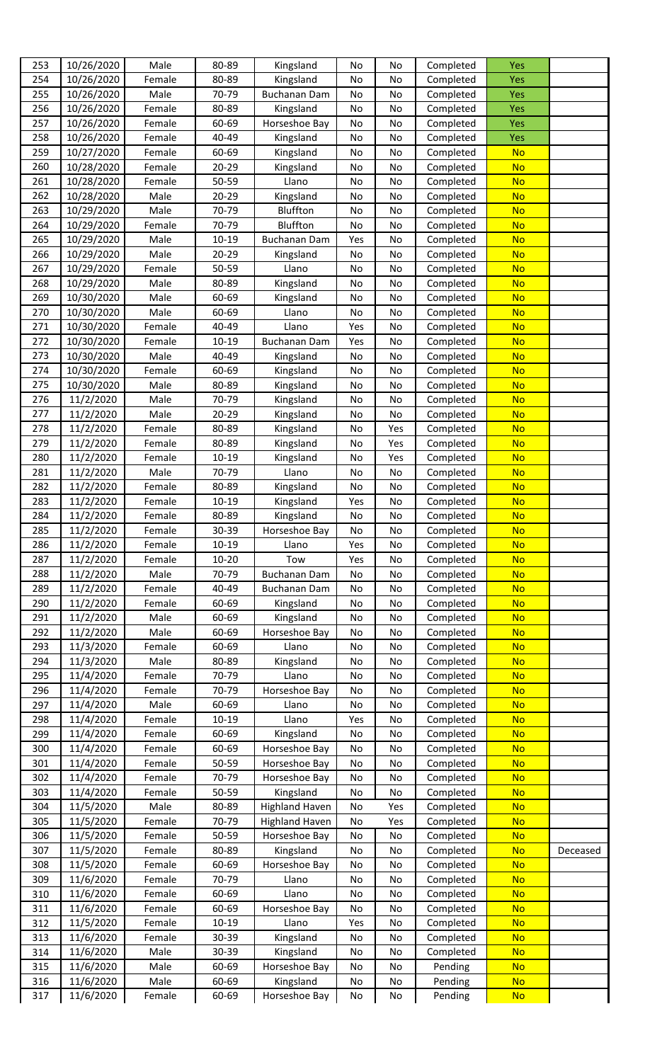| 253 | 10/26/2020 | Male   | 80-89     | Kingsland             | No  | No  | Completed | Yes        |          |
|-----|------------|--------|-----------|-----------------------|-----|-----|-----------|------------|----------|
| 254 | 10/26/2020 | Female | 80-89     | Kingsland             | No  | No  | Completed | Yes        |          |
| 255 | 10/26/2020 | Male   | 70-79     | <b>Buchanan Dam</b>   | No  | No  | Completed | <b>Yes</b> |          |
| 256 | 10/26/2020 | Female | 80-89     | Kingsland             | No  | No  | Completed | Yes        |          |
| 257 |            |        |           |                       |     |     |           |            |          |
|     | 10/26/2020 | Female | 60-69     | Horseshoe Bay         | No  | No  | Completed | <b>Yes</b> |          |
| 258 | 10/26/2020 | Female | 40-49     | Kingsland             | No  | No  | Completed | Yes        |          |
| 259 | 10/27/2020 | Female | 60-69     | Kingsland             | No  | No  | Completed | <b>No</b>  |          |
| 260 | 10/28/2020 | Female | 20-29     | Kingsland             | No  | No  | Completed | <b>No</b>  |          |
| 261 | 10/28/2020 | Female | 50-59     | Llano                 | No  | No  | Completed | <b>No</b>  |          |
| 262 | 10/28/2020 | Male   | $20 - 29$ | Kingsland             | No  | No  | Completed | <b>No</b>  |          |
| 263 | 10/29/2020 | Male   | 70-79     | Bluffton              | No  | No  | Completed | <b>No</b>  |          |
| 264 | 10/29/2020 | Female | 70-79     | Bluffton              | No  | No  | Completed | <b>No</b>  |          |
| 265 | 10/29/2020 | Male   | 10-19     | Buchanan Dam          | Yes | No  | Completed | <b>No</b>  |          |
| 266 | 10/29/2020 | Male   | 20-29     | Kingsland             | No  | No  | Completed | <b>No</b>  |          |
| 267 | 10/29/2020 | Female | 50-59     |                       |     |     |           | <b>No</b>  |          |
|     |            |        |           | Llano                 | No  | No  | Completed |            |          |
| 268 | 10/29/2020 | Male   | 80-89     | Kingsland             | No  | No  | Completed | <b>No</b>  |          |
| 269 | 10/30/2020 | Male   | 60-69     | Kingsland             | No  | No  | Completed | <b>No</b>  |          |
| 270 | 10/30/2020 | Male   | 60-69     | Llano                 | No  | No  | Completed | <b>No</b>  |          |
| 271 | 10/30/2020 | Female | 40-49     | Llano                 | Yes | No  | Completed | <b>No</b>  |          |
| 272 | 10/30/2020 | Female | $10 - 19$ | Buchanan Dam          | Yes | No  | Completed | <b>No</b>  |          |
| 273 | 10/30/2020 | Male   | 40-49     | Kingsland             | No  | No  | Completed | <b>No</b>  |          |
| 274 | 10/30/2020 | Female | 60-69     | Kingsland             | No  | No  | Completed | <b>No</b>  |          |
| 275 | 10/30/2020 | Male   | 80-89     | Kingsland             | No  | No  | Completed | <b>No</b>  |          |
| 276 | 11/2/2020  | Male   | 70-79     | Kingsland             | No  | No  | Completed | <b>No</b>  |          |
| 277 | 11/2/2020  | Male   | $20 - 29$ | Kingsland             | No  | No  | Completed | <b>No</b>  |          |
|     |            |        |           |                       |     |     |           |            |          |
| 278 | 11/2/2020  | Female | 80-89     | Kingsland             | No  | Yes | Completed | <b>No</b>  |          |
| 279 | 11/2/2020  | Female | 80-89     | Kingsland             | No  | Yes | Completed | <b>No</b>  |          |
| 280 | 11/2/2020  | Female | $10 - 19$ | Kingsland             | No  | Yes | Completed | <b>No</b>  |          |
| 281 | 11/2/2020  | Male   | 70-79     | Llano                 | No  | No  | Completed | <b>No</b>  |          |
| 282 | 11/2/2020  | Female | 80-89     | Kingsland             | No  | No  | Completed | <b>No</b>  |          |
| 283 | 11/2/2020  | Female | 10-19     | Kingsland             | Yes | No  | Completed | <b>No</b>  |          |
| 284 | 11/2/2020  | Female | 80-89     | Kingsland             | No  | No  | Completed | <b>No</b>  |          |
| 285 | 11/2/2020  | Female | 30-39     | Horseshoe Bay         | No  | No  | Completed | <b>No</b>  |          |
| 286 | 11/2/2020  | Female | $10 - 19$ | Llano                 | Yes | No  | Completed | <b>No</b>  |          |
| 287 | 11/2/2020  | Female | $10 - 20$ | Tow                   | Yes | No  | Completed | <b>No</b>  |          |
| 288 | 11/2/2020  | Male   | 70-79     | Buchanan Dam          | No  | No  | Completed | <b>No</b>  |          |
|     |            |        |           |                       |     |     |           |            |          |
| 289 | 11/2/2020  | Female | 40-49     | Buchanan Dam          | No  | No  | Completed | <b>No</b>  |          |
| 290 | 11/2/2020  | Female | 60-69     | Kingsland             | No  | No  | Completed | <b>No</b>  |          |
| 291 | 11/2/2020  | Male   | 60-69     | Kingsland             | No  | No  | Completed | <b>No</b>  |          |
| 292 | 11/2/2020  | Male   | 60-69     | Horseshoe Bay         | No  | No  | Completed | <b>No</b>  |          |
| 293 | 11/3/2020  | Female | 60-69     | Llano                 | No  | No  | Completed | <b>No</b>  |          |
| 294 | 11/3/2020  | Male   | 80-89     | Kingsland             | No  | No  | Completed | <b>No</b>  |          |
| 295 | 11/4/2020  | Female | 70-79     | Llano                 | No  | No  | Completed | <b>No</b>  |          |
| 296 | 11/4/2020  | Female | 70-79     | Horseshoe Bay         | No  | No  | Completed | <b>No</b>  |          |
| 297 | 11/4/2020  | Male   | 60-69     | Llano                 | No  | No  | Completed | <b>No</b>  |          |
| 298 | 11/4/2020  | Female | $10 - 19$ | Llano                 | Yes | No  | Completed | <b>No</b>  |          |
|     |            |        |           |                       |     |     |           |            |          |
| 299 | 11/4/2020  | Female | 60-69     | Kingsland             | No  | No  | Completed | <b>No</b>  |          |
| 300 | 11/4/2020  | Female | 60-69     | Horseshoe Bay         | No  | No  | Completed | <b>No</b>  |          |
| 301 | 11/4/2020  | Female | 50-59     | Horseshoe Bay         | No  | No  | Completed | <b>No</b>  |          |
| 302 | 11/4/2020  | Female | 70-79     | Horseshoe Bay         | No  | No  | Completed | <b>No</b>  |          |
| 303 | 11/4/2020  | Female | 50-59     | Kingsland             | No  | No  | Completed | <b>No</b>  |          |
| 304 | 11/5/2020  | Male   | 80-89     | <b>Highland Haven</b> | No  | Yes | Completed | <b>No</b>  |          |
| 305 | 11/5/2020  | Female | 70-79     | <b>Highland Haven</b> | No  | Yes | Completed | <b>No</b>  |          |
| 306 | 11/5/2020  | Female | 50-59     | Horseshoe Bay         | No  | No  | Completed | <b>No</b>  |          |
| 307 | 11/5/2020  | Female | 80-89     | Kingsland             | No  | No  | Completed | <b>No</b>  | Deceased |
| 308 | 11/5/2020  | Female | 60-69     | Horseshoe Bay         | No  | No  | Completed | <b>No</b>  |          |
| 309 | 11/6/2020  | Female | 70-79     | Llano                 | No  | No  | Completed | <b>No</b>  |          |
|     |            |        |           |                       |     |     |           |            |          |
| 310 | 11/6/2020  | Female | 60-69     | Llano                 | No  | No  | Completed | <b>No</b>  |          |
| 311 | 11/6/2020  | Female | 60-69     | Horseshoe Bay         | No  | No  | Completed | <b>No</b>  |          |
| 312 | 11/5/2020  | Female | $10 - 19$ | Llano                 | Yes | No  | Completed | <b>No</b>  |          |
| 313 | 11/6/2020  | Female | 30-39     | Kingsland             | No  | No  | Completed | <b>No</b>  |          |
| 314 | 11/6/2020  | Male   | 30-39     | Kingsland             | No  | No  | Completed | <b>No</b>  |          |
| 315 | 11/6/2020  | Male   | 60-69     | Horseshoe Bay         | No  | No  | Pending   | <b>No</b>  |          |
| 316 | 11/6/2020  | Male   | 60-69     | Kingsland             | No  | No  | Pending   | <b>No</b>  |          |
| 317 | 11/6/2020  | Female | 60-69     | Horseshoe Bay         | No  | No  | Pending   | <b>No</b>  |          |
|     |            |        |           |                       |     |     |           |            |          |